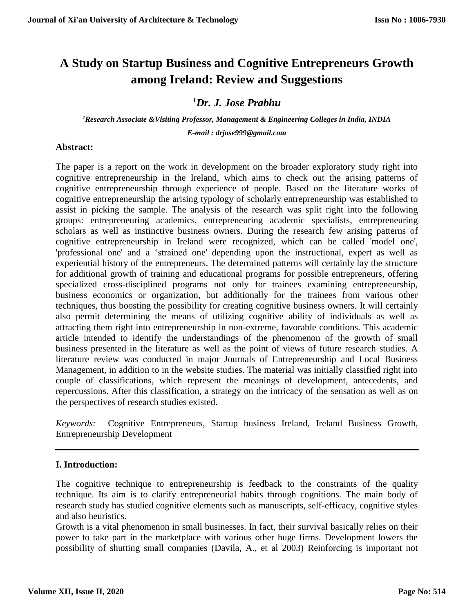# **A Study on Startup Business and Cognitive Entrepreneurs Growth among Ireland: Review and Suggestions**

## *<sup>1</sup>Dr. J. Jose Prabhu*

*<sup>1</sup>Research Associate &Visiting Professor, Management & Engineering Colleges in India, INDIA E-mail : drjose999@gmail.com*

## **Abstract:**

The paper is a report on the work in development on the broader exploratory study right into cognitive entrepreneurship in the Ireland, which aims to check out the arising patterns of cognitive entrepreneurship through experience of people. Based on the literature works of cognitive entrepreneurship the arising typology of scholarly entrepreneurship was established to assist in picking the sample. The analysis of the research was split right into the following groups: entrepreneuring academics, entrepreneuring academic specialists, entrepreneuring scholars as well as instinctive business owners. During the research few arising patterns of cognitive entrepreneurship in Ireland were recognized, which can be called 'model one', 'professional one' and a 'strained one' depending upon the instructional, expert as well as experiential history of the entrepreneurs. The determined patterns will certainly lay the structure for additional growth of training and educational programs for possible entrepreneurs, offering specialized cross-disciplined programs not only for trainees examining entrepreneurship, business economics or organization, but additionally for the trainees from various other techniques, thus boosting the possibility for creating cognitive business owners. It will certainly also permit determining the means of utilizing cognitive ability of individuals as well as attracting them right into entrepreneurship in non-extreme, favorable conditions. This academic article intended to identify the understandings of the phenomenon of the growth of small business presented in the literature as well as the point of views of future research studies. A literature review was conducted in major Journals of Entrepreneurship and Local Business Management, in addition to in the website studies. The material was initially classified right into couple of classifications, which represent the meanings of development, antecedents, and repercussions. After this classification, a strategy on the intricacy of the sensation as well as on the perspectives of research studies existed.

*Keywords:* Cognitive Entrepreneurs, Startup business Ireland, Ireland Business Growth, Entrepreneurship Development

## **I. Introduction:**

The cognitive technique to entrepreneurship is feedback to the constraints of the quality technique. Its aim is to clarify entrepreneurial habits through cognitions. The main body of research study has studied cognitive elements such as manuscripts, self-efficacy, cognitive styles and also heuristics.

Growth is a vital phenomenon in small businesses. In fact, their survival basically relies on their power to take part in the marketplace with various other huge firms. Development lowers the possibility of shutting small companies (Davila, A., et al 2003) Reinforcing is important not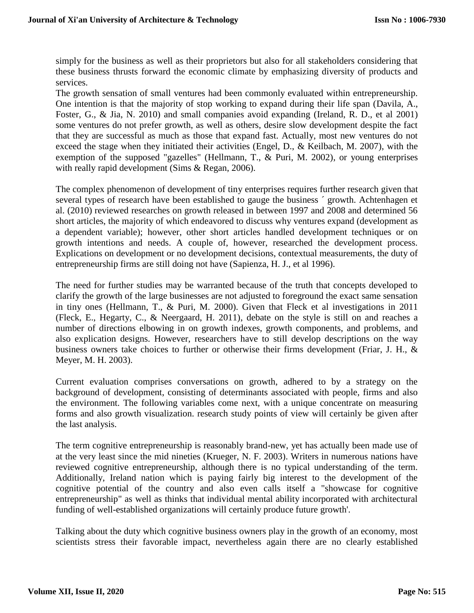simply for the business as well as their proprietors but also for all stakeholders considering that these business thrusts forward the economic climate by emphasizing diversity of products and services.

The growth sensation of small ventures had been commonly evaluated within entrepreneurship. One intention is that the majority of stop working to expand during their life span (Davila, A., Foster, G., & Jia, N. 2010) and small companies avoid expanding (Ireland, R. D., et al 2001) some ventures do not prefer growth, as well as others, desire slow development despite the fact that they are successful as much as those that expand fast. Actually, most new ventures do not exceed the stage when they initiated their activities (Engel, D., & Keilbach, M. 2007), with the exemption of the supposed "gazelles" (Hellmann, T., & Puri, M. 2002), or young enterprises with really rapid development (Sims & Regan, 2006).

The complex phenomenon of development of tiny enterprises requires further research given that several types of research have been established to gauge the business ´ growth. Achtenhagen et al. (2010) reviewed researches on growth released in between 1997 and 2008 and determined 56 short articles, the majority of which endeavored to discuss why ventures expand (development as a dependent variable); however, other short articles handled development techniques or on growth intentions and needs. A couple of, however, researched the development process. Explications on development or no development decisions, contextual measurements, the duty of entrepreneurship firms are still doing not have (Sapienza, H. J., et al 1996).

The need for further studies may be warranted because of the truth that concepts developed to clarify the growth of the large businesses are not adjusted to foreground the exact same sensation in tiny ones (Hellmann, T., & Puri, M. 2000). Given that Fleck et al investigations in 2011 (Fleck, E., Hegarty, C., & Neergaard, H. 2011), debate on the style is still on and reaches a number of directions elbowing in on growth indexes, growth components, and problems, and also explication designs. However, researchers have to still develop descriptions on the way business owners take choices to further or otherwise their firms development (Friar, J. H., & Meyer, M. H. 2003).

Current evaluation comprises conversations on growth, adhered to by a strategy on the background of development, consisting of determinants associated with people, firms and also the environment. The following variables come next, with a unique concentrate on measuring forms and also growth visualization. research study points of view will certainly be given after the last analysis.

The term cognitive entrepreneurship is reasonably brand-new, yet has actually been made use of at the very least since the mid nineties (Krueger, N. F. 2003). Writers in numerous nations have reviewed cognitive entrepreneurship, although there is no typical understanding of the term. Additionally, Ireland nation which is paying fairly big interest to the development of the cognitive potential of the country and also even calls itself a "showcase for cognitive entrepreneurship" as well as thinks that individual mental ability incorporated with architectural funding of well-established organizations will certainly produce future growth'.

Talking about the duty which cognitive business owners play in the growth of an economy, most scientists stress their favorable impact, nevertheless again there are no clearly established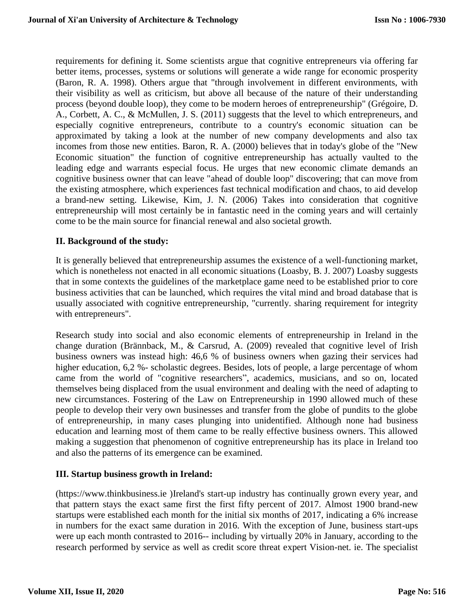requirements for defining it. Some scientists argue that cognitive entrepreneurs via offering far better items, processes, systems or solutions will generate a wide range for economic prosperity (Baron, R. A. 1998). Others argue that "through involvement in different environments, with their visibility as well as criticism, but above all because of the nature of their understanding process (beyond double loop), they come to be modern heroes of entrepreneurship" (Grégoire, D. A., Corbett, A. C., & McMullen, J. S. (2011) suggests that the level to which entrepreneurs, and especially cognitive entrepreneurs, contribute to a country's economic situation can be approximated by taking a look at the number of new company developments and also tax incomes from those new entities. Baron, R. A. (2000) believes that in today's globe of the "New Economic situation" the function of cognitive entrepreneurship has actually vaulted to the leading edge and warrants especial focus. He urges that new economic climate demands an cognitive business owner that can leave "ahead of double loop" discovering; that can move from the existing atmosphere, which experiences fast technical modification and chaos, to aid develop a brand-new setting. Likewise, Kim, J. N. (2006) Takes into consideration that cognitive entrepreneurship will most certainly be in fantastic need in the coming years and will certainly come to be the main source for financial renewal and also societal growth.

## **II. Background of the study:**

It is generally believed that entrepreneurship assumes the existence of a well-functioning market, which is nonetheless not enacted in all economic situations (Loasby, B. J. 2007) Loasby suggests that in some contexts the guidelines of the marketplace game need to be established prior to core business activities that can be launched, which requires the vital mind and broad database that is usually associated with cognitive entrepreneurship, "currently. sharing requirement for integrity with entrepreneurs".

Research study into social and also economic elements of entrepreneurship in Ireland in the change duration (Brännback, M., & Carsrud, A. (2009) revealed that cognitive level of Irish business owners was instead high: 46,6 % of business owners when gazing their services had higher education, 6,2 %- scholastic degrees. Besides, lots of people, a large percentage of whom came from the world of "cognitive researchers", academics, musicians, and so on, located themselves being displaced from the usual environment and dealing with the need of adapting to new circumstances. Fostering of the Law on Entrepreneurship in 1990 allowed much of these people to develop their very own businesses and transfer from the globe of pundits to the globe of entrepreneurship, in many cases plunging into unidentified. Although none had business education and learning most of them came to be really effective business owners. This allowed making a suggestion that phenomenon of cognitive entrepreneurship has its place in Ireland too and also the patterns of its emergence can be examined.

## **III. Startup business growth in Ireland:**

(https://www.thinkbusiness.ie )Ireland's start-up industry has continually grown every year, and that pattern stays the exact same first the first fifty percent of 2017. Almost 1900 brand-new startups were established each month for the initial six months of 2017, indicating a 6% increase in numbers for the exact same duration in 2016. With the exception of June, business start-ups were up each month contrasted to 2016-- including by virtually 20% in January, according to the research performed by service as well as credit score threat expert Vision-net. ie. The specialist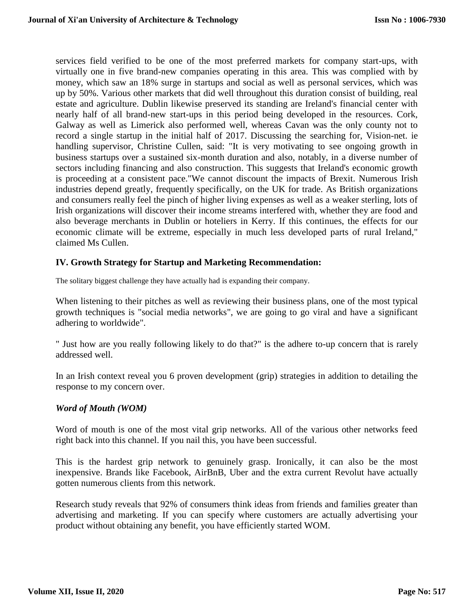services field verified to be one of the most preferred markets for company start-ups, with virtually one in five brand-new companies operating in this area. This was complied with by money, which saw an 18% surge in startups and social as well as personal services, which was up by 50%. Various other markets that did well throughout this duration consist of building, real estate and agriculture. Dublin likewise preserved its standing are Ireland's financial center with nearly half of all brand-new start-ups in this period being developed in the resources. Cork, Galway as well as Limerick also performed well, whereas Cavan was the only county not to record a single startup in the initial half of 2017. Discussing the searching for, Vision-net. ie handling supervisor, Christine Cullen, said: "It is very motivating to see ongoing growth in business startups over a sustained six-month duration and also, notably, in a diverse number of sectors including financing and also construction. This suggests that Ireland's economic growth is proceeding at a consistent pace."We cannot discount the impacts of Brexit. Numerous Irish industries depend greatly, frequently specifically, on the UK for trade. As British organizations and consumers really feel the pinch of higher living expenses as well as a weaker sterling, lots of Irish organizations will discover their income streams interfered with, whether they are food and also beverage merchants in Dublin or hoteliers in Kerry. If this continues, the effects for our economic climate will be extreme, especially in much less developed parts of rural Ireland," claimed Ms Cullen.

## **IV. Growth Strategy for Startup and Marketing Recommendation:**

The solitary biggest challenge they have actually had is expanding their company.

When listening to their pitches as well as reviewing their business plans, one of the most typical growth techniques is "social media networks", we are going to go viral and have a significant adhering to worldwide".

" Just how are you really following likely to do that?" is the adhere to-up concern that is rarely addressed well.

In an Irish context reveal you 6 proven development (grip) strategies in addition to detailing the response to my concern over.

## *Word of Mouth (WOM)*

Word of mouth is one of the most vital grip networks. All of the various other networks feed right back into this channel. If you nail this, you have been successful.

This is the hardest grip network to genuinely grasp. Ironically, it can also be the most inexpensive. Brands like Facebook, AirBnB, Uber and the extra current Revolut have actually gotten numerous clients from this network.

Research study reveals that 92% of consumers think ideas from friends and families greater than advertising and marketing. If you can specify where customers are actually advertising your product without obtaining any benefit, you have efficiently started WOM.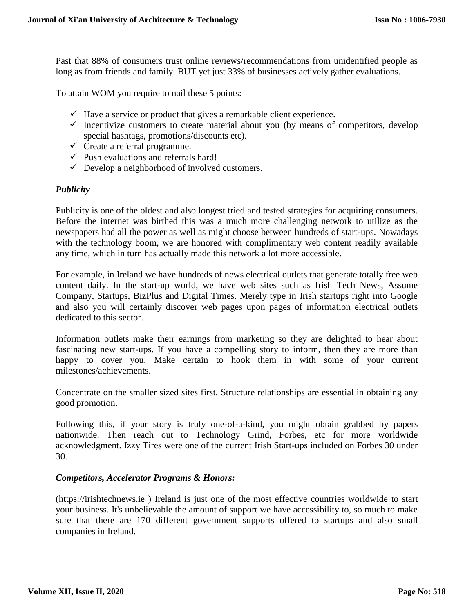Past that 88% of consumers trust online reviews/recommendations from unidentified people as long as from friends and family. BUT yet just 33% of businesses actively gather evaluations.

To attain WOM you require to nail these 5 points:

- $\checkmark$  Have a service or product that gives a remarkable client experience.
- $\checkmark$  Incentivize customers to create material about you (by means of competitors, develop special hashtags, promotions/discounts etc).
- $\checkmark$  Create a referral programme.
- $\checkmark$  Push evaluations and referrals hard!
- $\checkmark$  Develop a neighborhood of involved customers.

#### *Publicity*

Publicity is one of the oldest and also longest tried and tested strategies for acquiring consumers. Before the internet was birthed this was a much more challenging network to utilize as the newspapers had all the power as well as might choose between hundreds of start-ups. Nowadays with the technology boom, we are honored with complimentary web content readily available any time, which in turn has actually made this network a lot more accessible.

For example, in Ireland we have hundreds of news electrical outlets that generate totally free web content daily. In the start-up world, we have web sites such as Irish Tech News, Assume Company, Startups, BizPlus and Digital Times. Merely type in Irish startups right into Google and also you will certainly discover web pages upon pages of information electrical outlets dedicated to this sector.

Information outlets make their earnings from marketing so they are delighted to hear about fascinating new start-ups. If you have a compelling story to inform, then they are more than happy to cover you. Make certain to hook them in with some of your current milestones/achievements.

Concentrate on the smaller sized sites first. Structure relationships are essential in obtaining any good promotion.

Following this, if your story is truly one-of-a-kind, you might obtain grabbed by papers nationwide. Then reach out to Technology Grind, Forbes, etc for more worldwide acknowledgment. Izzy Tires were one of the current Irish Start-ups included on Forbes 30 under 30.

#### *Competitors, Accelerator Programs & Honors:*

(https://irishtechnews.ie ) Ireland is just one of the most effective countries worldwide to start your business. It's unbelievable the amount of support we have accessibility to, so much to make sure that there are 170 different government supports offered to startups and also small companies in Ireland.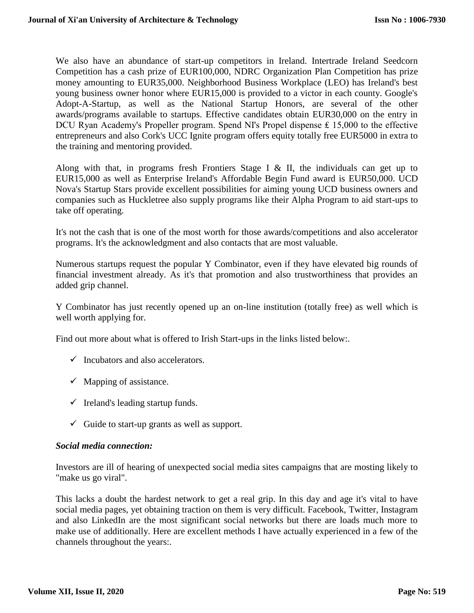We also have an abundance of start-up competitors in Ireland. Intertrade Ireland Seedcorn Competition has a cash prize of EUR100,000, NDRC Organization Plan Competition has prize money amounting to EUR35,000. Neighborhood Business Workplace (LEO) has Ireland's best young business owner honor where EUR15,000 is provided to a victor in each county. Google's Adopt-A-Startup, as well as the National Startup Honors, are several of the other awards/programs available to startups. Effective candidates obtain EUR30,000 on the entry in DCU Ryan Academy's Propeller program. Spend NI's Propel dispense £ 15,000 to the effective entrepreneurs and also Cork's UCC Ignite program offers equity totally free EUR5000 in extra to the training and mentoring provided.

Along with that, in programs fresh Frontiers Stage I & II, the individuals can get up to EUR15,000 as well as Enterprise Ireland's Affordable Begin Fund award is EUR50,000. UCD Nova's Startup Stars provide excellent possibilities for aiming young UCD business owners and companies such as Huckletree also supply programs like their Alpha Program to aid start-ups to take off operating.

It's not the cash that is one of the most worth for those awards/competitions and also accelerator programs. It's the acknowledgment and also contacts that are most valuable.

Numerous startups request the popular Y Combinator, even if they have elevated big rounds of financial investment already. As it's that promotion and also trustworthiness that provides an added grip channel.

Y Combinator has just recently opened up an on-line institution (totally free) as well which is well worth applying for.

Find out more about what is offered to Irish Start-ups in the links listed below:.

- $\checkmark$  Incubators and also accelerators.
- $\checkmark$  Mapping of assistance.
- $\checkmark$  Ireland's leading startup funds.
- $\checkmark$  Guide to start-up grants as well as support.

## *Social media connection:*

Investors are ill of hearing of unexpected social media sites campaigns that are mosting likely to "make us go viral".

This lacks a doubt the hardest network to get a real grip. In this day and age it's vital to have social media pages, yet obtaining traction on them is very difficult. Facebook, Twitter, Instagram and also LinkedIn are the most significant social networks but there are loads much more to make use of additionally. Here are excellent methods I have actually experienced in a few of the channels throughout the years:.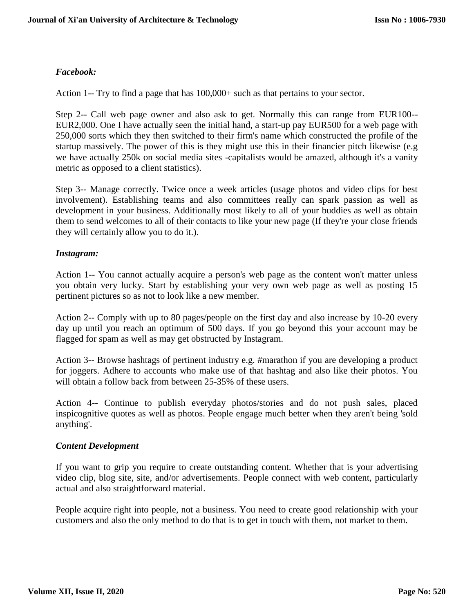## *Facebook:*

Action 1-- Try to find a page that has  $100,000+$  such as that pertains to your sector.

Step 2-- Call web page owner and also ask to get. Normally this can range from EUR100-- EUR2,000. One I have actually seen the initial hand, a start-up pay EUR500 for a web page with 250,000 sorts which they then switched to their firm's name which constructed the profile of the startup massively. The power of this is they might use this in their financier pitch likewise (e.g we have actually 250k on social media sites -capitalists would be amazed, although it's a vanity metric as opposed to a client statistics).

Step 3-- Manage correctly. Twice once a week articles (usage photos and video clips for best involvement). Establishing teams and also committees really can spark passion as well as development in your business. Additionally most likely to all of your buddies as well as obtain them to send welcomes to all of their contacts to like your new page (If they're your close friends they will certainly allow you to do it.).

## *Instagram:*

Action 1-- You cannot actually acquire a person's web page as the content won't matter unless you obtain very lucky. Start by establishing your very own web page as well as posting 15 pertinent pictures so as not to look like a new member.

Action 2-- Comply with up to 80 pages/people on the first day and also increase by 10-20 every day up until you reach an optimum of 500 days. If you go beyond this your account may be flagged for spam as well as may get obstructed by Instagram.

Action 3-- Browse hashtags of pertinent industry e.g. #marathon if you are developing a product for joggers. Adhere to accounts who make use of that hashtag and also like their photos. You will obtain a follow back from between 25-35% of these users.

Action 4-- Continue to publish everyday photos/stories and do not push sales, placed inspicognitive quotes as well as photos. People engage much better when they aren't being 'sold anything'.

## *Content Development*

If you want to grip you require to create outstanding content. Whether that is your advertising video clip, blog site, site, and/or advertisements. People connect with web content, particularly actual and also straightforward material.

People acquire right into people, not a business. You need to create good relationship with your customers and also the only method to do that is to get in touch with them, not market to them.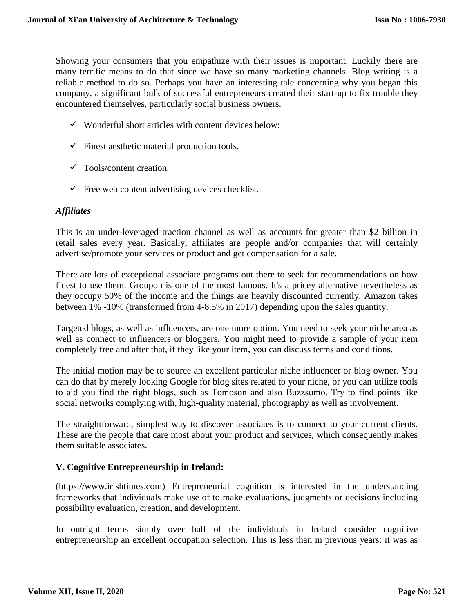Showing your consumers that you empathize with their issues is important. Luckily there are many terrific means to do that since we have so many marketing channels. Blog writing is a reliable method to do so. Perhaps you have an interesting tale concerning why you began this company, a significant bulk of successful entrepreneurs created their start-up to fix trouble they encountered themselves, particularly social business owners.

- $\checkmark$  Wonderful short articles with content devices below:
- $\checkmark$  Finest aesthetic material production tools.
- $\checkmark$  Tools/content creation.
- $\checkmark$  Free web content advertising devices checklist.

## *Affiliates*

This is an under-leveraged traction channel as well as accounts for greater than \$2 billion in retail sales every year. Basically, affiliates are people and/or companies that will certainly advertise/promote your services or product and get compensation for a sale.

There are lots of exceptional associate programs out there to seek for recommendations on how finest to use them. Groupon is one of the most famous. It's a pricey alternative nevertheless as they occupy 50% of the income and the things are heavily discounted currently. Amazon takes between 1% -10% (transformed from 4-8.5% in 2017) depending upon the sales quantity.

Targeted blogs, as well as influencers, are one more option. You need to seek your niche area as well as connect to influencers or bloggers. You might need to provide a sample of your item completely free and after that, if they like your item, you can discuss terms and conditions.

The initial motion may be to source an excellent particular niche influencer or blog owner. You can do that by merely looking Google for blog sites related to your niche, or you can utilize tools to aid you find the right blogs, such as Tomoson and also Buzzsumo. Try to find points like social networks complying with, high-quality material, photography as well as involvement.

The straightforward, simplest way to discover associates is to connect to your current clients. These are the people that care most about your product and services, which consequently makes them suitable associates.

## **V. Cognitive Entrepreneurship in Ireland:**

(https://www.irishtimes.com) Entrepreneurial cognition is interested in the understanding frameworks that individuals make use of to make evaluations, judgments or decisions including possibility evaluation, creation, and development.

In outright terms simply over half of the individuals in Ireland consider cognitive entrepreneurship an excellent occupation selection. This is less than in previous years: it was as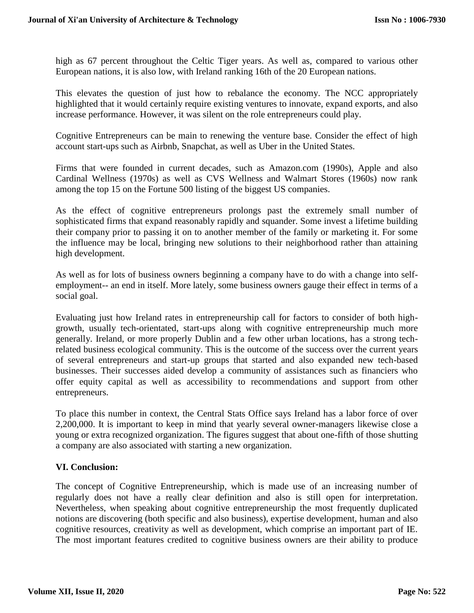high as 67 percent throughout the Celtic Tiger years. As well as, compared to various other European nations, it is also low, with Ireland ranking 16th of the 20 European nations.

This elevates the question of just how to rebalance the economy. The NCC appropriately highlighted that it would certainly require existing ventures to innovate, expand exports, and also increase performance. However, it was silent on the role entrepreneurs could play.

Cognitive Entrepreneurs can be main to renewing the venture base. Consider the effect of high account start-ups such as Airbnb, Snapchat, as well as Uber in the United States.

Firms that were founded in current decades, such as Amazon.com (1990s), Apple and also Cardinal Wellness (1970s) as well as CVS Wellness and Walmart Stores (1960s) now rank among the top 15 on the Fortune 500 listing of the biggest US companies.

As the effect of cognitive entrepreneurs prolongs past the extremely small number of sophisticated firms that expand reasonably rapidly and squander. Some invest a lifetime building their company prior to passing it on to another member of the family or marketing it. For some the influence may be local, bringing new solutions to their neighborhood rather than attaining high development.

As well as for lots of business owners beginning a company have to do with a change into selfemployment-- an end in itself. More lately, some business owners gauge their effect in terms of a social goal.

Evaluating just how Ireland rates in entrepreneurship call for factors to consider of both highgrowth, usually tech-orientated, start-ups along with cognitive entrepreneurship much more generally. Ireland, or more properly Dublin and a few other urban locations, has a strong techrelated business ecological community. This is the outcome of the success over the current years of several entrepreneurs and start-up groups that started and also expanded new tech-based businesses. Their successes aided develop a community of assistances such as financiers who offer equity capital as well as accessibility to recommendations and support from other entrepreneurs.

To place this number in context, the Central Stats Office says Ireland has a labor force of over 2,200,000. It is important to keep in mind that yearly several owner-managers likewise close a young or extra recognized organization. The figures suggest that about one-fifth of those shutting a company are also associated with starting a new organization.

## **VI. Conclusion:**

The concept of Cognitive Entrepreneurship, which is made use of an increasing number of regularly does not have a really clear definition and also is still open for interpretation. Nevertheless, when speaking about cognitive entrepreneurship the most frequently duplicated notions are discovering (both specific and also business), expertise development, human and also cognitive resources, creativity as well as development, which comprise an important part of IE. The most important features credited to cognitive business owners are their ability to produce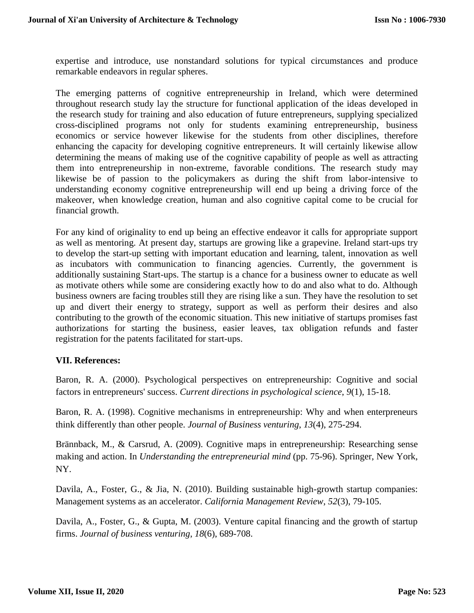expertise and introduce, use nonstandard solutions for typical circumstances and produce remarkable endeavors in regular spheres.

The emerging patterns of cognitive entrepreneurship in Ireland, which were determined throughout research study lay the structure for functional application of the ideas developed in the research study for training and also education of future entrepreneurs, supplying specialized cross-disciplined programs not only for students examining entrepreneurship, business economics or service however likewise for the students from other disciplines, therefore enhancing the capacity for developing cognitive entrepreneurs. It will certainly likewise allow determining the means of making use of the cognitive capability of people as well as attracting them into entrepreneurship in non-extreme, favorable conditions. The research study may likewise be of passion to the policymakers as during the shift from labor-intensive to understanding economy cognitive entrepreneurship will end up being a driving force of the makeover, when knowledge creation, human and also cognitive capital come to be crucial for financial growth.

For any kind of originality to end up being an effective endeavor it calls for appropriate support as well as mentoring. At present day, startups are growing like a grapevine. Ireland start-ups try to develop the start-up setting with important education and learning, talent, innovation as well as incubators with communication to financing agencies. Currently, the government is additionally sustaining Start-ups. The startup is a chance for a business owner to educate as well as motivate others while some are considering exactly how to do and also what to do. Although business owners are facing troubles still they are rising like a sun. They have the resolution to set up and divert their energy to strategy, support as well as perform their desires and also contributing to the growth of the economic situation. This new initiative of startups promises fast authorizations for starting the business, easier leaves, tax obligation refunds and faster registration for the patents facilitated for start-ups.

## **VII. References:**

Baron, R. A. (2000). Psychological perspectives on entrepreneurship: Cognitive and social factors in entrepreneurs' success. *Current directions in psychological science*, *9*(1), 15-18.

Baron, R. A. (1998). Cognitive mechanisms in entrepreneurship: Why and when enterpreneurs think differently than other people. *Journal of Business venturing*, *13*(4), 275-294.

Brännback, M., & Carsrud, A. (2009). Cognitive maps in entrepreneurship: Researching sense making and action. In *Understanding the entrepreneurial mind* (pp. 75-96). Springer, New York, NY.

Davila, A., Foster, G., & Jia, N. (2010). Building sustainable high-growth startup companies: Management systems as an accelerator. *California Management Review*, *52*(3), 79-105.

Davila, A., Foster, G., & Gupta, M. (2003). Venture capital financing and the growth of startup firms. *Journal of business venturing*, *18*(6), 689-708.